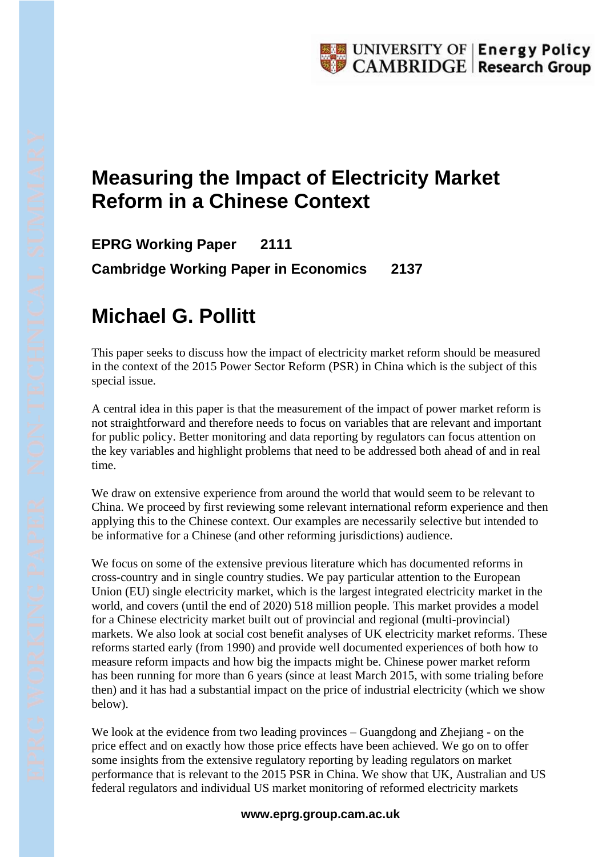## **Measuring the Impact of Electricity Market Reform in a Chinese Context**

**EPRG Working Paper 2111 Cambridge Working Paper in Economics 2137**

## **Michael G. Pollitt**

This paper seeks to discuss how the impact of electricity market reform should be measured in the context of the 2015 Power Sector Reform (PSR) in China which is the subject of this special issue.

A central idea in this paper is that the measurement of the impact of power market reform is not straightforward and therefore needs to focus on variables that are relevant and important for public policy. Better monitoring and data reporting by regulators can focus attention on the key variables and highlight problems that need to be addressed both ahead of and in real time.

We draw on extensive experience from around the world that would seem to be relevant to China. We proceed by first reviewing some relevant international reform experience and then applying this to the Chinese context. Our examples are necessarily selective but intended to be informative for a Chinese (and other reforming jurisdictions) audience.

We focus on some of the extensive previous literature which has documented reforms in cross-country and in single country studies. We pay particular attention to the European Union (EU) single electricity market, which is the largest integrated electricity market in the world, and covers (until the end of 2020) 518 million people. This market provides a model for a Chinese electricity market built out of provincial and regional (multi-provincial) markets. We also look at social cost benefit analyses of UK electricity market reforms. These reforms started early (from 1990) and provide well documented experiences of both how to measure reform impacts and how big the impacts might be. Chinese power market reform has been running for more than 6 years (since at least March 2015, with some trialing before then) and it has had a substantial impact on the price of industrial electricity (which we show below).

We look at the evidence from two leading provinces – Guangdong and Zhejiang - on the price effect and on exactly how those price effects have been achieved. We go on to offer some insights from the extensive regulatory reporting by leading regulators on market performance that is relevant to the 2015 PSR in China. We show that UK, Australian and US federal regulators and individual US market monitoring of reformed electricity markets

## **www.eprg.group.cam.ac.uk**